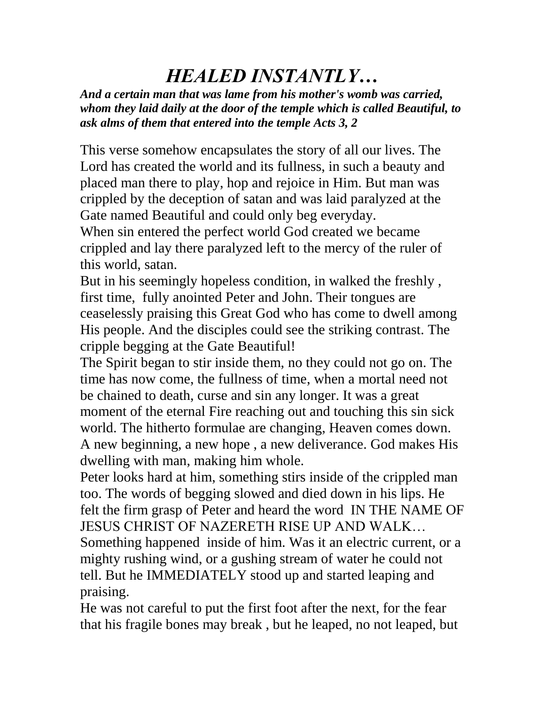## *HEALED INSTANTLY…*

*And a certain man that was lame from his mother's womb was carried, whom they laid daily at the door of the temple which is called Beautiful, to ask alms of them that entered into the temple Acts 3, 2*

This verse somehow encapsulates the story of all our lives. The Lord has created the world and its fullness, in such a beauty and placed man there to play, hop and rejoice in Him. But man was crippled by the deception of satan and was laid paralyzed at the Gate named Beautiful and could only beg everyday.

When sin entered the perfect world God created we became crippled and lay there paralyzed left to the mercy of the ruler of this world, satan.

But in his seemingly hopeless condition, in walked the freshly , first time, fully anointed Peter and John. Their tongues are ceaselessly praising this Great God who has come to dwell among His people. And the disciples could see the striking contrast. The cripple begging at the Gate Beautiful!

The Spirit began to stir inside them, no they could not go on. The time has now come, the fullness of time, when a mortal need not be chained to death, curse and sin any longer. It was a great moment of the eternal Fire reaching out and touching this sin sick world. The hitherto formulae are changing, Heaven comes down. A new beginning, a new hope , a new deliverance. God makes His dwelling with man, making him whole.

Peter looks hard at him, something stirs inside of the crippled man too. The words of begging slowed and died down in his lips. He felt the firm grasp of Peter and heard the word IN THE NAME OF JESUS CHRIST OF NAZERETH RISE UP AND WALK…

Something happened inside of him. Was it an electric current, or a mighty rushing wind, or a gushing stream of water he could not tell. But he IMMEDIATELY stood up and started leaping and praising.

He was not careful to put the first foot after the next, for the fear that his fragile bones may break , but he leaped, no not leaped, but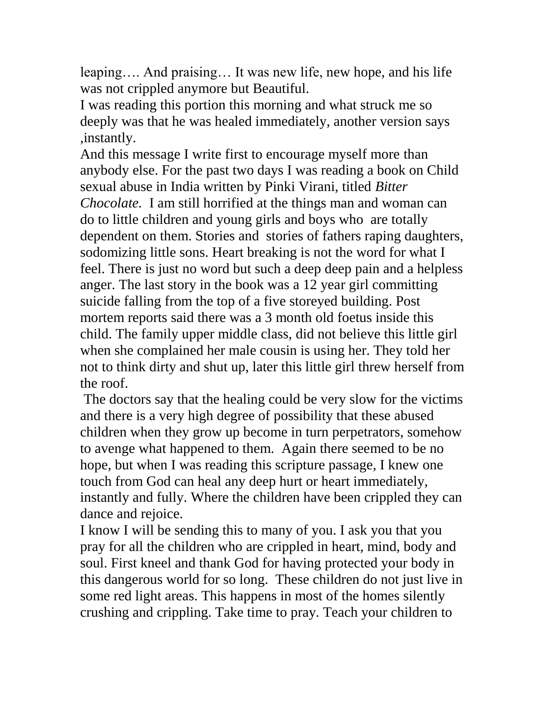leaping…. And praising… It was new life, new hope, and his life was not crippled anymore but Beautiful.

I was reading this portion this morning and what struck me so deeply was that he was healed immediately, another version says ,instantly.

And this message I write first to encourage myself more than anybody else. For the past two days I was reading a book on Child sexual abuse in India written by Pinki Virani, titled *Bitter Chocolate.* I am still horrified at the things man and woman can do to little children and young girls and boys who are totally dependent on them. Stories and stories of fathers raping daughters, sodomizing little sons. Heart breaking is not the word for what I feel. There is just no word but such a deep deep pain and a helpless anger. The last story in the book was a 12 year girl committing suicide falling from the top of a five storeyed building. Post mortem reports said there was a 3 month old foetus inside this child. The family upper middle class, did not believe this little girl when she complained her male cousin is using her. They told her not to think dirty and shut up, later this little girl threw herself from the roof.

The doctors say that the healing could be very slow for the victims and there is a very high degree of possibility that these abused children when they grow up become in turn perpetrators, somehow to avenge what happened to them. Again there seemed to be no hope, but when I was reading this scripture passage, I knew one touch from God can heal any deep hurt or heart immediately, instantly and fully. Where the children have been crippled they can dance and rejoice.

I know I will be sending this to many of you. I ask you that you pray for all the children who are crippled in heart, mind, body and soul. First kneel and thank God for having protected your body in this dangerous world for so long. These children do not just live in some red light areas. This happens in most of the homes silently crushing and crippling. Take time to pray. Teach your children to